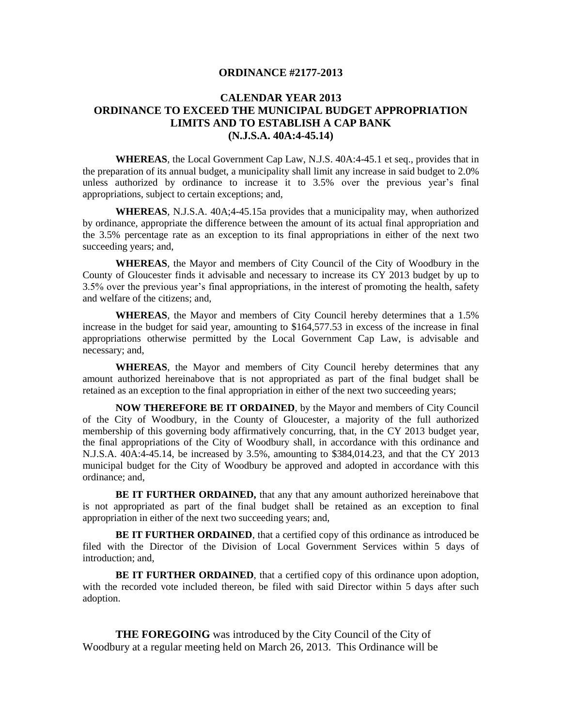## **ORDINANCE #2177-2013**

## **CALENDAR YEAR 2013 ORDINANCE TO EXCEED THE MUNICIPAL BUDGET APPROPRIATION LIMITS AND TO ESTABLISH A CAP BANK (N.J.S.A. 40A:4-45.14)**

**WHEREAS**, the Local Government Cap Law, N.J.S. 40A:4-45.1 et seq., provides that in the preparation of its annual budget, a municipality shall limit any increase in said budget to 2.0% unless authorized by ordinance to increase it to 3.5% over the previous year's final appropriations, subject to certain exceptions; and,

**WHEREAS**, N.J.S.A. 40A;4-45.15a provides that a municipality may, when authorized by ordinance, appropriate the difference between the amount of its actual final appropriation and the 3.5% percentage rate as an exception to its final appropriations in either of the next two succeeding years; and,

**WHEREAS**, the Mayor and members of City Council of the City of Woodbury in the County of Gloucester finds it advisable and necessary to increase its CY 2013 budget by up to 3.5% over the previous year's final appropriations, in the interest of promoting the health, safety and welfare of the citizens; and,

**WHEREAS**, the Mayor and members of City Council hereby determines that a 1.5% increase in the budget for said year, amounting to \$164,577.53 in excess of the increase in final appropriations otherwise permitted by the Local Government Cap Law, is advisable and necessary; and,

**WHEREAS**, the Mayor and members of City Council hereby determines that any amount authorized hereinabove that is not appropriated as part of the final budget shall be retained as an exception to the final appropriation in either of the next two succeeding years;

**NOW THEREFORE BE IT ORDAINED**, by the Mayor and members of City Council of the City of Woodbury, in the County of Gloucester, a majority of the full authorized membership of this governing body affirmatively concurring, that, in the CY 2013 budget year, the final appropriations of the City of Woodbury shall, in accordance with this ordinance and N.J.S.A. 40A:4-45.14, be increased by 3.5%, amounting to \$384,014.23, and that the CY 2013 municipal budget for the City of Woodbury be approved and adopted in accordance with this ordinance; and,

**BE IT FURTHER ORDAINED,** that any that any amount authorized hereinabove that is not appropriated as part of the final budget shall be retained as an exception to final appropriation in either of the next two succeeding years; and,

**BE IT FURTHER ORDAINED**, that a certified copy of this ordinance as introduced be filed with the Director of the Division of Local Government Services within 5 days of introduction; and,

**BE IT FURTHER ORDAINED**, that a certified copy of this ordinance upon adoption, with the recorded vote included thereon, be filed with said Director within 5 days after such adoption.

**THE FOREGOING** was introduced by the City Council of the City of Woodbury at a regular meeting held on March 26, 2013. This Ordinance will be